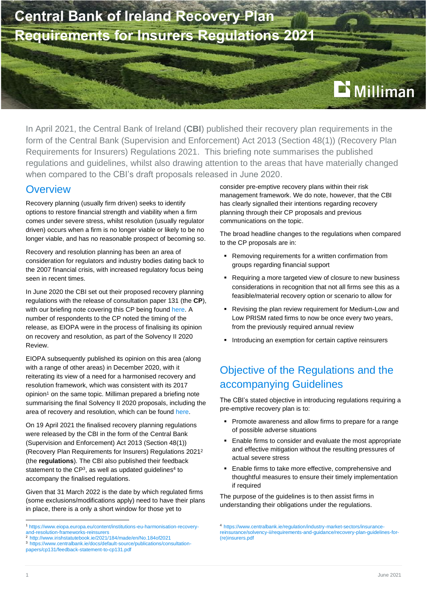

# $\mathbf{D}$  Milliman

In April 2021, the Central Bank of Ireland (**CBI**) published their recovery plan requirements in the form of the Central Bank (Supervision and Enforcement) Act 2013 (Section 48(1)) (Recovery Plan Requirements for Insurers) Regulations 2021. This briefing note summarises the published regulations and guidelines, whilst also drawing attention to the areas that have materially changed when compared to the CBI's draft proposals released in June 2020.

# **Overview**

Recovery planning (usually firm driven) seeks to identify options to restore financial strength and viability when a firm comes under severe stress, whilst resolution (usually regulator driven) occurs when a firm is no longer viable or likely to be no longer viable, and has no reasonable prospect of becoming so.

Recovery and resolution planning has been an area of consideration for regulators and industry bodies dating back to the 2007 financial crisis, with increased regulatory focus being seen in recent times.

In June 2020 the CBI set out their proposed recovery planning regulations with the release of consultation paper 131 (the **CP**), with our briefing note covering this CP being foun[d here.](https://ie.milliman.com/-/media/milliman/pdfs/articles/cbi-consultation-131-pre-emptive-recovery-planning.ashx) A number of respondents to the CP noted the timing of the release, as EIOPA were in the process of finalising its opinion on recovery and resolution, as part of the Solvency II 2020 Review.

EIOPA subsequently published its opinion on this area (along with a range of other areas) in December 2020, with it reiterating its view of a need for a harmonised recovery and resolution framework, which was consistent with its 2017 opinion <sup>1</sup> on the same topic. Milliman prepared a briefing note summarising the final Solvency II 2020 proposals, including the area of recovery and resolution, which can be found [here.](https://ie.milliman.com/-/media/milliman/pdfs/2021-articles/1-11-21-sii-2020-eiopa-opinion.ashx?la=en-gb&hash=3A8F180BB4C11E7D2DA59BAF45669691)

On 19 April 2021 the finalised recovery planning regulations were released by the CBI in the form of the Central Bank (Supervision and Enforcement) Act 2013 (Section 48(1)) (Recovery Plan Requirements for Insurers) Regulations 2021<sup>2</sup> (the **regulations**). The CBI also published their feedback statement to the  $\mathsf{CP}^3$ , as well as updated guidelines<sup>4</sup> to accompany the finalised regulations.

Given that 31 March 2022 is the date by which regulated firms (some exclusions/modifications apply) need to have their plans in place, there is a only a short window for those yet to

consider pre-emptive recovery plans within their risk management framework. We do note, however, that the CBI has clearly signalled their intentions regarding recovery planning through their CP proposals and previous communications on the topic.

The broad headline changes to the regulations when compared to the CP proposals are in:

- Removing requirements for a written confirmation from groups regarding financial support
- Requiring a more targeted view of closure to new business considerations in recognition that not all firms see this as a feasible/material recovery option or scenario to allow for
- Revising the plan review requirement for Medium-Low and Low PRISM rated firms to now be once every two years, from the previously required annual review
- Introducing an exemption for certain captive reinsurers

# Objective of the Regulations and the accompanying Guidelines

The CBI's stated objective in introducing regulations requiring a pre-emptive recovery plan is to:

- Promote awareness and allow firms to prepare for a range of possible adverse situations
- Enable firms to consider and evaluate the most appropriate and effective mitigation without the resulting pressures of actual severe stress
- Enable firms to take more effective, comprehensive and thoughtful measures to ensure their timely implementation if required

The purpose of the guidelines is to then assist firms in understanding their obligations under the regulations.

<sup>1</sup> [https://www.eiopa.europa.eu/content/institutions-eu-harmonisation-recovery](https://www.eiopa.europa.eu/content/institutions-eu-harmonisation-recovery-and-resolution-frameworks-reinsurers)[and-resolution-frameworks-reinsurers](https://www.eiopa.europa.eu/content/institutions-eu-harmonisation-recovery-and-resolution-frameworks-reinsurers)

<sup>2</sup> [http://www.irishstatutebook.ie/2021/184/made/en/No.184of2021](http://www.irishstatutebook.ie/eli/2021/si/184/made/en/print?q=No.+184+of+2021)

<sup>3</sup> [https://www.centralbank.ie/docs/default-source/publications/consultation-](https://www.centralbank.ie/docs/default-source/publications/consultation-papers/cp131/feedback-statement-to-cp131.pdf)

[papers/cp131/feedback-statement-to-cp131.pdf](https://www.centralbank.ie/docs/default-source/publications/consultation-papers/cp131/feedback-statement-to-cp131.pdf)

<sup>4</sup> [https://www.centralbank.ie/regulation/industry-market-sectors/insurance](https://www.centralbank.ie/docs/default-source/regulation/industry-market-sectors/insurance-reinsurance/solvency-ii/requirements-and-guidance/recovery-plan-guidelines-for-(re)insurers.pdf)[reinsurance/solvency-ii/requirements-and-guidance/recovery-plan-guidelines-for-](https://www.centralbank.ie/docs/default-source/regulation/industry-market-sectors/insurance-reinsurance/solvency-ii/requirements-and-guidance/recovery-plan-guidelines-for-(re)insurers.pdf) [\(re\)insurers.pdf](https://www.centralbank.ie/docs/default-source/regulation/industry-market-sectors/insurance-reinsurance/solvency-ii/requirements-and-guidance/recovery-plan-guidelines-for-(re)insurers.pdf)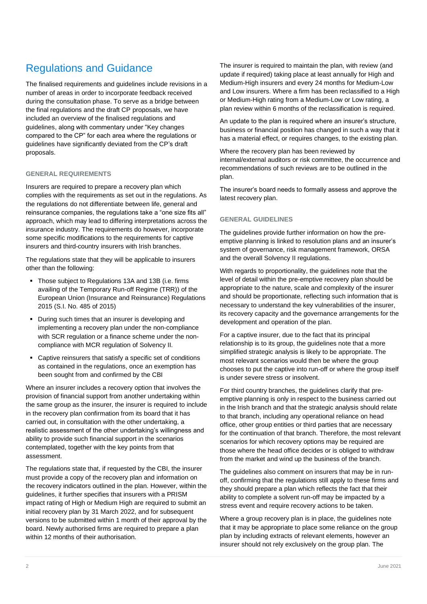# Regulations and Guidance

The finalised requirements and guidelines include revisions in a number of areas in order to incorporate feedback received during the consultation phase. To serve as a bridge between the final regulations and the draft CP proposals, we have included an overview of the finalised regulations and guidelines, along with commentary under "Key changes compared to the CP" for each area where the regulations or guidelines have significantly deviated from the CP's draft proposals.

#### **GENERAL REQUIREMENTS**

Insurers are required to prepare a recovery plan which complies with the requirements as set out in the regulations. As the regulations do not differentiate between life, general and reinsurance companies, the regulations take a "one size fits all" approach, which may lead to differing interpretations across the insurance industry. The requirements do however, incorporate some specific modifications to the requirements for captive insurers and third-country insurers with Irish branches.

The regulations state that they will be applicable to insurers other than the following:

- Those subject to Regulations 13A and 13B (i.e. firms availing of the Temporary Run-off Regime (TRR)) of the European Union (Insurance and Reinsurance) Regulations 2015 (S.I. No. 485 of 2015)
- During such times that an insurer is developing and implementing a recovery plan under the non-compliance with SCR regulation or a finance scheme under the noncompliance with MCR regulation of Solvency II.
- Captive reinsurers that satisfy a specific set of conditions as contained in the regulations, once an exemption has been sought from and confirmed by the CBI

Where an insurer includes a recovery option that involves the provision of financial support from another undertaking within the same group as the insurer, the insurer is required to include in the recovery plan confirmation from its board that it has carried out, in consultation with the other undertaking, a realistic assessment of the other undertaking's willingness and ability to provide such financial support in the scenarios contemplated, together with the key points from that assessment.

The regulations state that, if requested by the CBI, the insurer must provide a copy of the recovery plan and information on the recovery indicators outlined in the plan. However, within the guidelines, it further specifies that insurers with a PRISM impact rating of High or Medium High are required to submit an initial recovery plan by 31 March 2022, and for subsequent versions to be submitted within 1 month of their approval by the board. Newly authorised firms are required to prepare a plan within 12 months of their authorisation.

The insurer is required to maintain the plan, with review (and update if required) taking place at least annually for High and Medium-High insurers and every 24 months for Medium-Low and Low insurers. Where a firm has been reclassified to a High or Medium-High rating from a Medium-Low or Low rating, a plan review within 6 months of the reclassification is required.

An update to the plan is required where an insurer's structure, business or financial position has changed in such a way that it has a material effect, or requires changes, to the existing plan.

Where the recovery plan has been reviewed by internal/external auditors or risk committee, the occurrence and recommendations of such reviews are to be outlined in the plan.

The insurer's board needs to formally assess and approve the latest recovery plan.

#### **GENERAL GUIDELINES**

The guidelines provide further information on how the preemptive planning is linked to resolution plans and an insurer's system of governance, risk management framework, ORSA and the overall Solvency II regulations.

With regards to proportionality, the guidelines note that the level of detail within the pre-emptive recovery plan should be appropriate to the nature, scale and complexity of the insurer and should be proportionate, reflecting such information that is necessary to understand the key vulnerabilities of the insurer, its recovery capacity and the governance arrangements for the development and operation of the plan.

For a captive insurer, due to the fact that its principal relationship is to its group, the guidelines note that a more simplified strategic analysis is likely to be appropriate. The most relevant scenarios would then be where the group chooses to put the captive into run-off or where the group itself is under severe stress or insolvent.

For third country branches, the guidelines clarify that preemptive planning is only in respect to the business carried out in the Irish branch and that the strategic analysis should relate to that branch, including any operational reliance on head office, other group entities or third parties that are necessary for the continuation of that branch. Therefore, the most relevant scenarios for which recovery options may be required are those where the head office decides or is obliged to withdraw from the market and wind up the business of the branch.

The quidelines also comment on insurers that may be in runoff, confirming that the regulations still apply to these firms and they should prepare a plan which reflects the fact that their ability to complete a solvent run-off may be impacted by a stress event and require recovery actions to be taken.

Where a group recovery plan is in place, the guidelines note that it may be appropriate to place some reliance on the group plan by including extracts of relevant elements, however an insurer should not rely exclusively on the group plan. The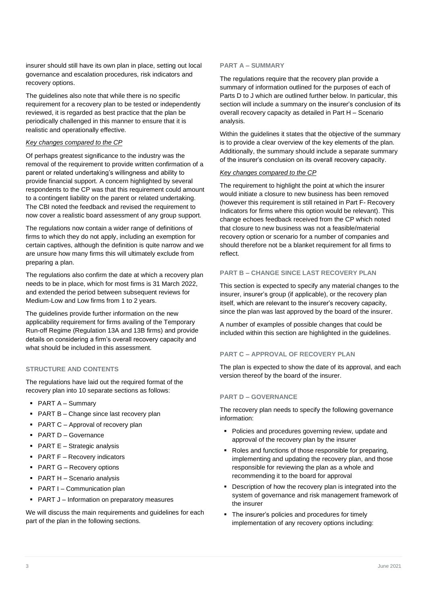insurer should still have its own plan in place, setting out local governance and escalation procedures, risk indicators and recovery options.

The guidelines also note that while there is no specific requirement for a recovery plan to be tested or independently reviewed, it is regarded as best practice that the plan be periodically challenged in this manner to ensure that it is realistic and operationally effective.

#### *Key changes compared to the CP*

Of perhaps greatest significance to the industry was the removal of the requirement to provide written confirmation of a parent or related undertaking's willingness and ability to provide financial support. A concern highlighted by several respondents to the CP was that this requirement could amount to a contingent liability on the parent or related undertaking. The CBI noted the feedback and revised the requirement to now cover a realistic board assessment of any group support.

The regulations now contain a wider range of definitions of firms to which they do not apply, including an exemption for certain captives, although the definition is quite narrow and we are unsure how many firms this will ultimately exclude from preparing a plan.

The regulations also confirm the date at which a recovery plan needs to be in place, which for most firms is 31 March 2022, and extended the period between subsequent reviews for Medium-Low and Low firms from 1 to 2 years.

The guidelines provide further information on the new applicability requirement for firms availing of the Temporary Run-off Regime (Regulation 13A and 13B firms) and provide details on considering a firm's overall recovery capacity and what should be included in this assessment.

### **STRUCTURE AND CONTENTS**

The regulations have laid out the required format of the recovery plan into 10 separate sections as follows:

- PART A Summary
- PART B Change since last recovery plan
- PART C Approval of recovery plan
- PART D Governance
- PART E Strategic analysis
- PART F Recovery indicators
- PART G Recovery options
- PART H Scenario analysis
- PART I Communication plan
- PART J Information on preparatory measures

We will discuss the main requirements and guidelines for each part of the plan in the following sections.

#### **PART A – SUMMARY**

The regulations require that the recovery plan provide a summary of information outlined for the purposes of each of Parts D to J which are outlined further below. In particular, this section will include a summary on the insurer's conclusion of its overall recovery capacity as detailed in Part H – Scenario analysis.

Within the guidelines it states that the objective of the summary is to provide a clear overview of the key elements of the plan. Additionally, the summary should include a separate summary of the insurer's conclusion on its overall recovery capacity.

#### *Key changes compared to the CP*

The requirement to highlight the point at which the insurer would initiate a closure to new business has been removed (however this requirement is still retained in Part F- Recovery Indicators for firms where this option would be relevant). This change echoes feedback received from the CP which noted that closure to new business was not a feasible/material recovery option or scenario for a number of companies and should therefore not be a blanket requirement for all firms to reflect.

## **PART B – CHANGE SINCE LAST RECOVERY PLAN**

This section is expected to specify any material changes to the insurer, insurer's group (if applicable), or the recovery plan itself, which are relevant to the insurer's recovery capacity, since the plan was last approved by the board of the insurer.

A number of examples of possible changes that could be included within this section are highlighted in the guidelines.

#### **PART C – APPROVAL OF RECOVERY PLAN**

The plan is expected to show the date of its approval, and each version thereof by the board of the insurer.

#### **PART D – GOVERNANCE**

The recovery plan needs to specify the following governance information:

- Policies and procedures governing review, update and approval of the recovery plan by the insurer
- Roles and functions of those responsible for preparing, implementing and updating the recovery plan, and those responsible for reviewing the plan as a whole and recommending it to the board for approval
- **Description of how the recovery plan is integrated into the** system of governance and risk management framework of the insurer
- The insurer's policies and procedures for timely implementation of any recovery options including: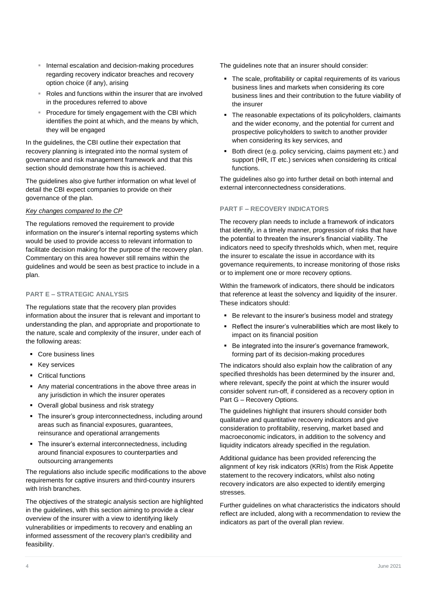- Internal escalation and decision-making procedures regarding recovery indicator breaches and recovery option choice (if any), arising
- Roles and functions within the insurer that are involved in the procedures referred to above
- Procedure for timely engagement with the CBI which identifies the point at which, and the means by which, they will be engaged

In the guidelines, the CBI outline their expectation that recovery planning is integrated into the normal system of governance and risk management framework and that this section should demonstrate how this is achieved.

The guidelines also give further information on what level of detail the CBI expect companies to provide on their governance of the plan.

### *Key changes compared to the CP*

The regulations removed the requirement to provide information on the insurer's internal reporting systems which would be used to provide access to relevant information to facilitate decision making for the purpose of the recovery plan. Commentary on this area however still remains within the guidelines and would be seen as best practice to include in a plan.

### **PART E – STRATEGIC ANALYSIS**

The regulations state that the recovery plan provides information about the insurer that is relevant and important to understanding the plan, and appropriate and proportionate to the nature, scale and complexity of the insurer, under each of the following areas:

- Core business lines
- Key services
- Critical functions
- Any material concentrations in the above three areas in any jurisdiction in which the insurer operates
- Overall global business and risk strategy
- The insurer's group interconnectedness, including around areas such as financial exposures, guarantees, reinsurance and operational arrangements
- The insurer's external interconnectedness, including around financial exposures to counterparties and outsourcing arrangements

The regulations also include specific modifications to the above requirements for captive insurers and third-country insurers with Irish branches.

The objectives of the strategic analysis section are highlighted in the guidelines, with this section aiming to provide a clear overview of the insurer with a view to identifying likely vulnerabilities or impediments to recovery and enabling an informed assessment of the recovery plan's credibility and feasibility.

The guidelines note that an insurer should consider:

- The scale, profitability or capital requirements of its various business lines and markets when considering its core business lines and their contribution to the future viability of the insurer
- The reasonable expectations of its policyholders, claimants and the wider economy, and the potential for current and prospective policyholders to switch to another provider when considering its key services, and
- Both direct (e.g. policy servicing, claims payment etc.) and support (HR, IT etc.) services when considering its critical functions.

The guidelines also go into further detail on both internal and external interconnectedness considerations.

# **PART F – RECOVERY INDICATORS**

The recovery plan needs to include a framework of indicators that identify, in a timely manner, progression of risks that have the potential to threaten the insurer's financial viability. The indicators need to specify thresholds which, when met, require the insurer to escalate the issue in accordance with its governance requirements, to increase monitoring of those risks or to implement one or more recovery options.

Within the framework of indicators, there should be indicators that reference at least the solvency and liquidity of the insurer. These indicators should:

- Be relevant to the insurer's business model and strategy
- Reflect the insurer's vulnerabilities which are most likely to impact on its financial position
- Be integrated into the insurer's governance framework, forming part of its decision-making procedures

The indicators should also explain how the calibration of any specified thresholds has been determined by the insurer and, where relevant, specify the point at which the insurer would consider solvent run-off, if considered as a recovery option in Part G – Recovery Options.

The guidelines highlight that insurers should consider both qualitative and quantitative recovery indicators and give consideration to profitability, reserving, market based and macroeconomic indicators, in addition to the solvency and liquidity indicators already specified in the regulation.

Additional guidance has been provided referencing the alignment of key risk indicators (KRIs) from the Risk Appetite statement to the recovery indicators, whilst also noting recovery indicators are also expected to identify emerging stresses.

Further guidelines on what characteristics the indicators should reflect are included, along with a recommendation to review the indicators as part of the overall plan review.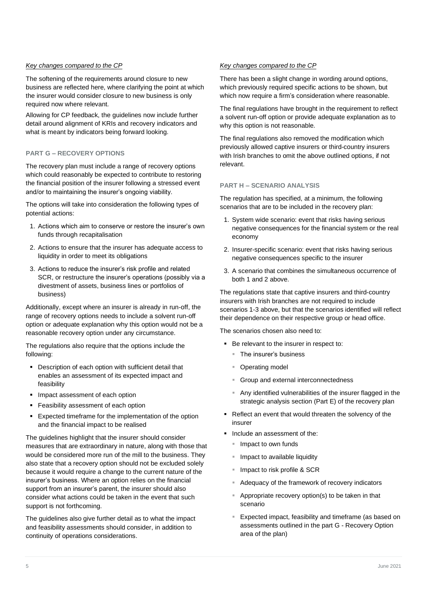#### *Key changes compared to the CP*

The softening of the requirements around closure to new business are reflected here, where clarifying the point at which the insurer would consider closure to new business is only required now where relevant.

Allowing for CP feedback, the guidelines now include further detail around alignment of KRIs and recovery indicators and what is meant by indicators being forward looking.

## **PART G – RECOVERY OPTIONS**

The recovery plan must include a range of recovery options which could reasonably be expected to contribute to restoring the financial position of the insurer following a stressed event and/or to maintaining the insurer's ongoing viability.

The options will take into consideration the following types of potential actions:

- 1. Actions which aim to conserve or restore the insurer's own funds through recapitalisation
- 2. Actions to ensure that the insurer has adequate access to liquidity in order to meet its obligations
- 3. Actions to reduce the insurer's risk profile and related SCR, or restructure the insurer's operations (possibly via a divestment of assets, business lines or portfolios of business)

Additionally, except where an insurer is already in run-off, the range of recovery options needs to include a solvent run-off option or adequate explanation why this option would not be a reasonable recovery option under any circumstance.

The regulations also require that the options include the following:

- Description of each option with sufficient detail that enables an assessment of its expected impact and feasibility
- **·** Impact assessment of each option
- **•** Feasibility assessment of each option
- Expected timeframe for the implementation of the option and the financial impact to be realised

The guidelines highlight that the insurer should consider measures that are extraordinary in nature, along with those that would be considered more run of the mill to the business. They also state that a recovery option should not be excluded solely because it would require a change to the current nature of the insurer's business. Where an option relies on the financial support from an insurer's parent, the insurer should also consider what actions could be taken in the event that such support is not forthcoming.

The guidelines also give further detail as to what the impact and feasibility assessments should consider, in addition to continuity of operations considerations.

#### *Key changes compared to the CP*

There has been a slight change in wording around options, which previously required specific actions to be shown, but which now require a firm's consideration where reasonable.

The final regulations have brought in the requirement to reflect a solvent run-off option or provide adequate explanation as to why this option is not reasonable.

The final regulations also removed the modification which previously allowed captive insurers or third-country insurers with Irish branches to omit the above outlined options, if not relevant.

### **PART H – SCENARIO ANALYSIS**

The regulation has specified, at a minimum, the following scenarios that are to be included in the recovery plan:

- 1. System wide scenario: event that risks having serious negative consequences for the financial system or the real economy
- 2. Insurer-specific scenario: event that risks having serious negative consequences specific to the insurer
- 3. A scenario that combines the simultaneous occurrence of both 1 and 2 above.

The regulations state that captive insurers and third-country insurers with Irish branches are not required to include scenarios 1-3 above, but that the scenarios identified will reflect their dependence on their respective group or head office.

The scenarios chosen also need to:

- Be relevant to the insurer in respect to:
	- The insurer's business
	- Operating model
	- Group and external interconnectedness
	- Any identified vulnerabilities of the insurer flagged in the strategic analysis section (Part E) of the recovery plan
- Reflect an event that would threaten the solvency of the insurer
- Include an assessment of the:
	- Impact to own funds
	- **E** Impact to available liquidity
	- Impact to risk profile & SCR
	- Adequacy of the framework of recovery indicators
	- Appropriate recovery option(s) to be taken in that scenario
	- Expected impact, feasibility and timeframe (as based on assessments outlined in the part G - Recovery Option area of the plan)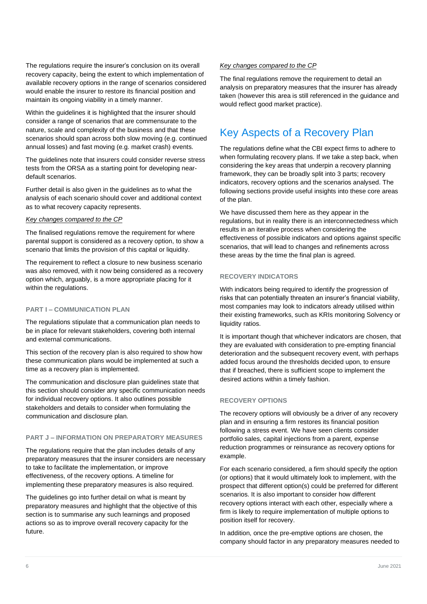The regulations require the insurer's conclusion on its overall recovery capacity, being the extent to which implementation of available recovery options in the range of scenarios considered would enable the insurer to restore its financial position and maintain its ongoing viability in a timely manner.

Within the guidelines it is highlighted that the insurer should consider a range of scenarios that are commensurate to the nature, scale and complexity of the business and that these scenarios should span across both slow moving (e.g. continued annual losses) and fast moving (e.g. market crash) events.

The guidelines note that insurers could consider reverse stress tests from the ORSA as a starting point for developing neardefault scenarios.

Further detail is also given in the guidelines as to what the analysis of each scenario should cover and additional context as to what recovery capacity represents.

#### *Key changes compared to the CP*

The finalised regulations remove the requirement for where parental support is considered as a recovery option, to show a scenario that limits the provision of this capital or liquidity.

The requirement to reflect a closure to new business scenario was also removed, with it now being considered as a recovery option which, arguably, is a more appropriate placing for it within the regulations.

#### **PART I – COMMUNICATION PLAN**

The regulations stipulate that a communication plan needs to be in place for relevant stakeholders, covering both internal and external communications.

This section of the recovery plan is also required to show how these communication plans would be implemented at such a time as a recovery plan is implemented.

The communication and disclosure plan guidelines state that this section should consider any specific communication needs for individual recovery options. It also outlines possible stakeholders and details to consider when formulating the communication and disclosure plan.

#### **PART J – INFORMATION ON PREPARATORY MEASURES**

The regulations require that the plan includes details of any preparatory measures that the insurer considers are necessary to take to facilitate the implementation, or improve effectiveness, of the recovery options. A timeline for implementing these preparatory measures is also required.

The guidelines go into further detail on what is meant by preparatory measures and highlight that the objective of this section is to summarise any such learnings and proposed actions so as to improve overall recovery capacity for the future.

#### *Key changes compared to the CP*

The final regulations remove the requirement to detail an analysis on preparatory measures that the insurer has already taken **(**however this area is still referenced in the guidance and would reflect good market practice).

# Key Aspects of a Recovery Plan

The regulations define what the CBI expect firms to adhere to when formulating recovery plans. If we take a step back, when considering the key areas that underpin a recovery planning framework, they can be broadly split into 3 parts; recovery indicators, recovery options and the scenarios analysed. The following sections provide useful insights into these core areas of the plan.

We have discussed them here as they appear in the regulations, but in reality there is an interconnectedness which results in an iterative process when considering the effectiveness of possible indicators and options against specific scenarios, that will lead to changes and refinements across these areas by the time the final plan is agreed.

### **RECOVERY INDICATORS**

With indicators being required to identify the progression of risks that can potentially threaten an insurer's financial viability, most companies may look to indicators already utilised within their existing frameworks, such as KRIs monitoring Solvency or liquidity ratios.

It is important though that whichever indicators are chosen, that they are evaluated with consideration to pre-empting financial deterioration and the subsequent recovery event, with perhaps added focus around the thresholds decided upon, to ensure that if breached, there is sufficient scope to implement the desired actions within a timely fashion.

#### **RECOVERY OPTIONS**

The recovery options will obviously be a driver of any recovery plan and in ensuring a firm restores its financial position following a stress event. We have seen clients consider portfolio sales, capital injections from a parent, expense reduction programmes or reinsurance as recovery options for example.

For each scenario considered, a firm should specify the option (or options) that it would ultimately look to implement, with the prospect that different option(s) could be preferred for different scenarios. It is also important to consider how different recovery options interact with each other, especially where a firm is likely to require implementation of multiple options to position itself for recovery.

In addition, once the pre-emptive options are chosen, the company should factor in any preparatory measures needed to